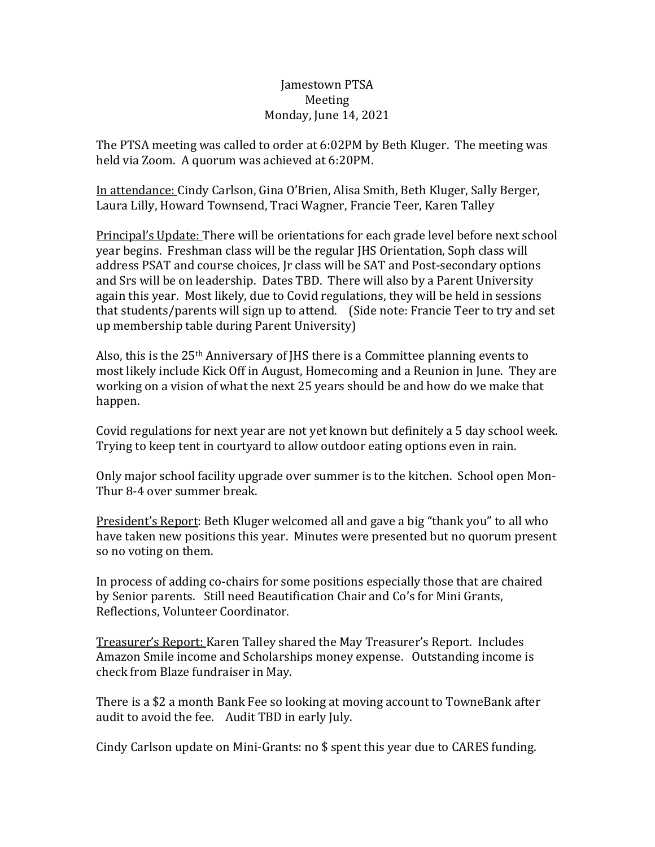## Jamestown PTSA Meeting Monday, June 14, 2021

The PTSA meeting was called to order at 6:02PM by Beth Kluger. The meeting was held via Zoom. A quorum was achieved at 6:20PM.

In attendance: Cindy Carlson, Gina O'Brien, Alisa Smith, Beth Kluger, Sally Berger, Laura Lilly, Howard Townsend, Traci Wagner, Francie Teer, Karen Talley

Principal's Update: There will be orientations for each grade level before next school year begins. Freshman class will be the regular JHS Orientation, Soph class will address PSAT and course choices, Jr class will be SAT and Post-secondary options and Srs will be on leadership. Dates TBD. There will also by a Parent University again this year. Most likely, due to Covid regulations, they will be held in sessions that students/parents will sign up to attend. (Side note: Francie Teer to try and set up membership table during Parent University)

Also, this is the  $25<sup>th</sup>$  Anniversary of JHS there is a Committee planning events to most likely include Kick Off in August, Homecoming and a Reunion in June. They are working on a vision of what the next 25 years should be and how do we make that happen.

Covid regulations for next year are not yet known but definitely a 5 day school week. Trying to keep tent in courtyard to allow outdoor eating options even in rain.

Only major school facility upgrade over summer is to the kitchen. School open Mon-Thur 8-4 over summer break.

President's Report: Beth Kluger welcomed all and gave a big "thank you" to all who have taken new positions this year. Minutes were presented but no quorum present so no voting on them.

In process of adding co-chairs for some positions especially those that are chaired by Senior parents. Still need Beautification Chair and Co's for Mini Grants, Reflections, Volunteer Coordinator.

Treasurer's Report: Karen Talley shared the May Treasurer's Report. Includes Amazon Smile income and Scholarships money expense. Outstanding income is check from Blaze fundraiser in May.

There is a \$2 a month Bank Fee so looking at moving account to TowneBank after audit to avoid the fee. Audit TBD in early July.

Cindy Carlson update on Mini-Grants: no \$ spent this year due to CARES funding.